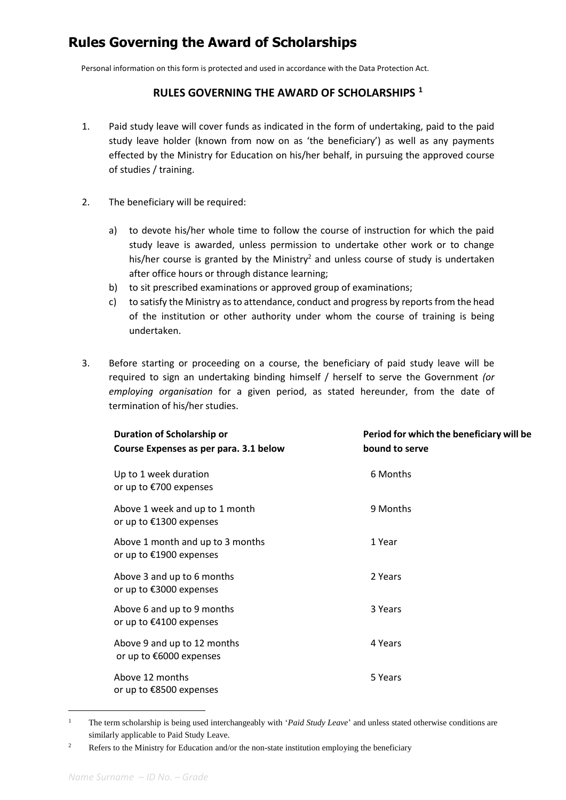## **Rules Governing the Award of Scholarships**

Personal information on this form is protected and used in accordance with the Data Protection Act.

## **RULES GOVERNING THE AWARD OF SCHOLARSHIPS <sup>1</sup>**

- 1. Paid study leave will cover funds as indicated in the form of undertaking, paid to the paid study leave holder (known from now on as 'the beneficiary') as well as any payments effected by the Ministry for Education on his/her behalf, in pursuing the approved course of studies / training.
- 2. The beneficiary will be required:
	- a) to devote his/her whole time to follow the course of instruction for which the paid study leave is awarded, unless permission to undertake other work or to change his/her course is granted by the Ministry<sup>2</sup> and unless course of study is undertaken after office hours or through distance learning;
	- b) to sit prescribed examinations or approved group of examinations;
	- c) to satisfy the Ministry as to attendance, conduct and progress by reports from the head of the institution or other authority under whom the course of training is being undertaken.
- 3. Before starting or proceeding on a course, the beneficiary of paid study leave will be required to sign an undertaking binding himself / herself to serve the Government *(or employing organisation* for a given period, as stated hereunder, from the date of termination of his/her studies.

| <b>Duration of Scholarship or</b><br>Course Expenses as per para. 3.1 below | Period for which the beneficiary will be<br>bound to serve |
|-----------------------------------------------------------------------------|------------------------------------------------------------|
| Up to 1 week duration<br>or up to €700 expenses                             | 6 Months                                                   |
| Above 1 week and up to 1 month<br>or up to €1300 expenses                   | 9 Months                                                   |
| Above 1 month and up to 3 months<br>or up to €1900 expenses                 | 1 Year                                                     |
| Above 3 and up to 6 months<br>or up to $\epsilon$ 3000 expenses             | 2 Years                                                    |
| Above 6 and up to 9 months<br>or up to €4100 expenses                       | 3 Years                                                    |
| Above 9 and up to 12 months<br>or up to €6000 expenses                      | 4 Years                                                    |
| Above 12 months<br>or up to €8500 expenses                                  | 5 Years                                                    |

<sup>1</sup> The term scholarship is being used interchangeably with '*Paid Study Leave*' and unless stated otherwise conditions are similarly applicable to Paid Study Leave.

1

<sup>&</sup>lt;sup>2</sup> Refers to the Ministry for Education and/or the non-state institution employing the beneficiary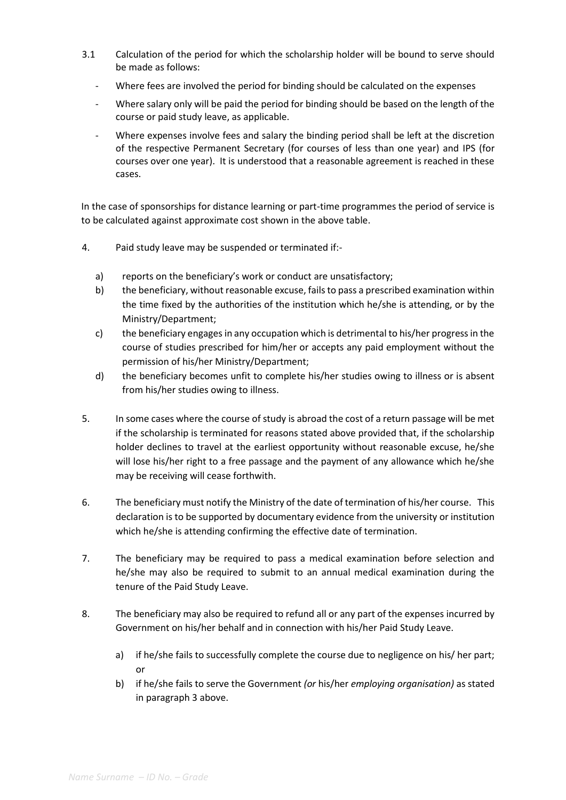- 3.1 Calculation of the period for which the scholarship holder will be bound to serve should be made as follows:
	- Where fees are involved the period for binding should be calculated on the expenses
	- Where salary only will be paid the period for binding should be based on the length of the course or paid study leave, as applicable.
	- Where expenses involve fees and salary the binding period shall be left at the discretion of the respective Permanent Secretary (for courses of less than one year) and IPS (for courses over one year). It is understood that a reasonable agreement is reached in these cases.

In the case of sponsorships for distance learning or part-time programmes the period of service is to be calculated against approximate cost shown in the above table.

- 4. Paid study leave may be suspended or terminated if:
	- a) reports on the beneficiary's work or conduct are unsatisfactory;
	- b) the beneficiary, without reasonable excuse, fails to pass a prescribed examination within the time fixed by the authorities of the institution which he/she is attending, or by the Ministry/Department;
	- c) the beneficiary engages in any occupation which is detrimental to his/her progress in the course of studies prescribed for him/her or accepts any paid employment without the permission of his/her Ministry/Department;
	- d) the beneficiary becomes unfit to complete his/her studies owing to illness or is absent from his/her studies owing to illness.
- 5. In some cases where the course of study is abroad the cost of a return passage will be met if the scholarship is terminated for reasons stated above provided that, if the scholarship holder declines to travel at the earliest opportunity without reasonable excuse, he/she will lose his/her right to a free passage and the payment of any allowance which he/she may be receiving will cease forthwith.
- 6. The beneficiary must notify the Ministry of the date of termination of his/her course. This declaration is to be supported by documentary evidence from the university or institution which he/she is attending confirming the effective date of termination.
- 7. The beneficiary may be required to pass a medical examination before selection and he/she may also be required to submit to an annual medical examination during the tenure of the Paid Study Leave.
- 8. The beneficiary may also be required to refund all or any part of the expenses incurred by Government on his/her behalf and in connection with his/her Paid Study Leave.
	- a) if he/she fails to successfully complete the course due to negligence on his/ her part; or
	- b) if he/she fails to serve the Government *(or* his/her *employing organisation)* as stated in paragraph 3 above.